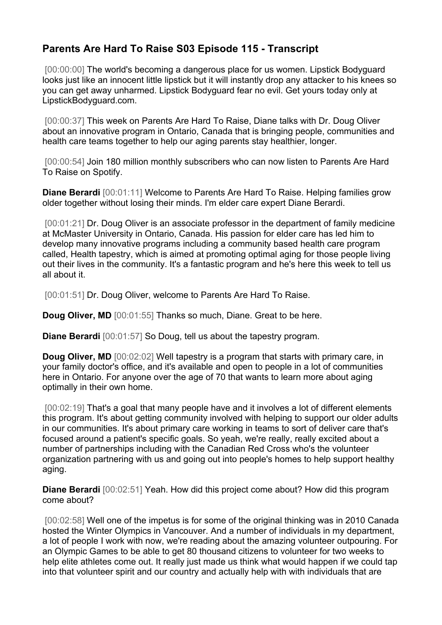## **Parents Are Hard To Raise S03 Episode 115 - Transcript**

[00:00:00] The world's becoming a dangerous place for us women. Lipstick Bodvauard looks just like an innocent little lipstick but it will instantly drop any attacker to his knees so you can get away unharmed. Lipstick Bodyguard fear no evil. Get yours today only at LipstickBodyguard.com.

[00:00:37] This week on Parents Are Hard To Raise, Diane talks with Dr. Doug Oliver about an innovative program in Ontario, Canada that is bringing people, communities and health care teams together to help our aging parents stay healthier, longer.

[00:00:54] Join 180 million monthly subscribers who can now listen to Parents Are Hard To Raise on Spotify.

**Diane Berardi** [00:01:11] Welcome to Parents Are Hard To Raise. Helping families grow older together without losing their minds. I'm elder care expert Diane Berardi.

[00:01:21] Dr. Doug Oliver is an associate professor in the department of family medicine at McMaster University in Ontario, Canada. His passion for elder care has led him to develop many innovative programs including a community based health care program called, Health tapestry, which is aimed at promoting optimal aging for those people living out their lives in the community. It's a fantastic program and he's here this week to tell us all about it.

[00:01:51] Dr. Doug Oliver, welcome to Parents Are Hard To Raise.

**Doug Oliver, MD** [00:01:55] Thanks so much, Diane. Great to be here.

**Diane Berardi** [00:01:57] So Doug, tell us about the tapestry program.

**Doug Oliver, MD** [00:02:02] Well tapestry is a program that starts with primary care, in your family doctor's office, and it's available and open to people in a lot of communities here in Ontario. For anyone over the age of 70 that wants to learn more about aging optimally in their own home.

[00:02:19] That's a goal that many people have and it involves a lot of different elements this program. It's about getting community involved with helping to support our older adults in our communities. It's about primary care working in teams to sort of deliver care that's focused around a patient's specific goals. So yeah, we're really, really excited about a number of partnerships including with the Canadian Red Cross who's the volunteer organization partnering with us and going out into people's homes to help support healthy aging.

**Diane Berardi** [00:02:51] Yeah. How did this project come about? How did this program come about?

[00:02:58] Well one of the impetus is for some of the original thinking was in 2010 Canada hosted the Winter Olympics in Vancouver. And a number of individuals in my department, a lot of people I work with now, we're reading about the amazing volunteer outpouring. For an Olympic Games to be able to get 80 thousand citizens to volunteer for two weeks to help elite athletes come out. It really just made us think what would happen if we could tap into that volunteer spirit and our country and actually help with with individuals that are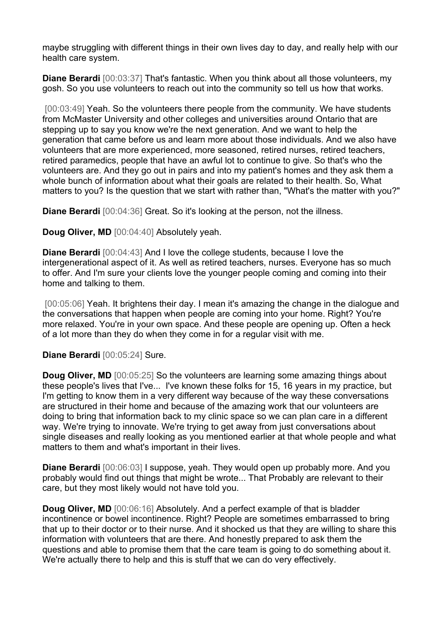maybe struggling with different things in their own lives day to day, and really help with our health care system.

**Diane Berardi** [00:03:37] That's fantastic. When you think about all those volunteers, my gosh. So you use volunteers to reach out into the community so tell us how that works.

[00:03:49] Yeah. So the volunteers there people from the community. We have students from McMaster University and other colleges and universities around Ontario that are stepping up to say you know we're the next generation. And we want to help the generation that came before us and learn more about those individuals. And we also have volunteers that are more experienced, more seasoned, retired nurses, retired teachers, retired paramedics, people that have an awful lot to continue to give. So that's who the volunteers are. And they go out in pairs and into my patient's homes and they ask them a whole bunch of information about what their goals are related to their health. So, What matters to you? Is the question that we start with rather than, "What's the matter with you?"

**Diane Berardi** [00:04:36] Great. So it's looking at the person, not the illness.

**Doug Oliver, MD** [00:04:40] Absolutely yeah.

**Diane Berardi** [00:04:43] And I love the college students, because I love the intergenerational aspect of it. As well as retired teachers, nurses. Everyone has so much to offer. And I'm sure your clients love the younger people coming and coming into their home and talking to them.

[00:05:06] Yeah. It brightens their day. I mean it's amazing the change in the dialogue and the conversations that happen when people are coming into your home. Right? You're more relaxed. You're in your own space. And these people are opening up. Often a heck of a lot more than they do when they come in for a regular visit with me.

**Diane Berardi** [00:05:24] Sure.

**Doug Oliver, MD** [00:05:25] So the volunteers are learning some amazing things about these people's lives that I've... I've known these folks for 15, 16 years in my practice, but I'm getting to know them in a very different way because of the way these conversations are structured in their home and because of the amazing work that our volunteers are doing to bring that information back to my clinic space so we can plan care in a different way. We're trying to innovate. We're trying to get away from just conversations about single diseases and really looking as you mentioned earlier at that whole people and what matters to them and what's important in their lives.

**Diane Berardi** [00:06:03] I suppose, yeah. They would open up probably more. And you probably would find out things that might be wrote... That Probably are relevant to their care, but they most likely would not have told you.

**Doug Oliver, MD** [00:06:16] Absolutely. And a perfect example of that is bladder incontinence or bowel incontinence. Right? People are sometimes embarrassed to bring that up to their doctor or to their nurse. And it shocked us that they are willing to share this information with volunteers that are there. And honestly prepared to ask them the questions and able to promise them that the care team is going to do something about it. We're actually there to help and this is stuff that we can do very effectively.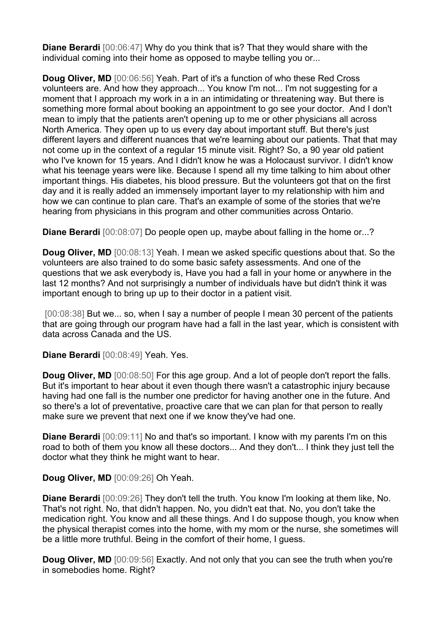**Diane Berardi** [00:06:47] Why do you think that is? That they would share with the individual coming into their home as opposed to maybe telling you or...

**Doug Oliver, MD** [00:06:56] Yeah. Part of it's a function of who these Red Cross volunteers are. And how they approach... You know I'm not... I'm not suggesting for a moment that I approach my work in a in an intimidating or threatening way. But there is something more formal about booking an appointment to go see your doctor. And I don't mean to imply that the patients aren't opening up to me or other physicians all across North America. They open up to us every day about important stuff. But there's just different layers and different nuances that we're learning about our patients. That that may not come up in the context of a regular 15 minute visit. Right? So, a 90 year old patient who I've known for 15 years. And I didn't know he was a Holocaust survivor. I didn't know what his teenage years were like. Because I spend all my time talking to him about other important things. His diabetes, his blood pressure. But the volunteers got that on the first day and it is really added an immensely important layer to my relationship with him and how we can continue to plan care. That's an example of some of the stories that we're hearing from physicians in this program and other communities across Ontario.

**Diane Berardi** [00:08:07] Do people open up, maybe about falling in the home or...?

**Doug Oliver, MD** [00:08:13] Yeah. I mean we asked specific questions about that. So the volunteers are also trained to do some basic safety assessments. And one of the questions that we ask everybody is, Have you had a fall in your home or anywhere in the last 12 months? And not surprisingly a number of individuals have but didn't think it was important enough to bring up up to their doctor in a patient visit.

[00:08:38] But we... so, when I say a number of people I mean 30 percent of the patients that are going through our program have had a fall in the last year, which is consistent with data across Canada and the US.

**Diane Berardi** [00:08:49] Yeah. Yes.

**Doug Oliver, MD** [00:08:50] For this age group. And a lot of people don't report the falls. But it's important to hear about it even though there wasn't a catastrophic injury because having had one fall is the number one predictor for having another one in the future. And so there's a lot of preventative, proactive care that we can plan for that person to really make sure we prevent that next one if we know they've had one.

**Diane Berardi** [00:09:11] No and that's so important. I know with my parents I'm on this road to both of them you know all these doctors... And they don't... I think they just tell the doctor what they think he might want to hear.

## **Doug Oliver, MD** [00:09:26] Oh Yeah.

**Diane Berardi** [00:09:26] They don't tell the truth. You know I'm looking at them like, No. That's not right. No, that didn't happen. No, you didn't eat that. No, you don't take the medication right. You know and all these things. And I do suppose though, you know when the physical therapist comes into the home, with my mom or the nurse, she sometimes will be a little more truthful. Being in the comfort of their home, I guess.

**Doug Oliver, MD** [00:09:56] Exactly. And not only that you can see the truth when you're in somebodies home. Right?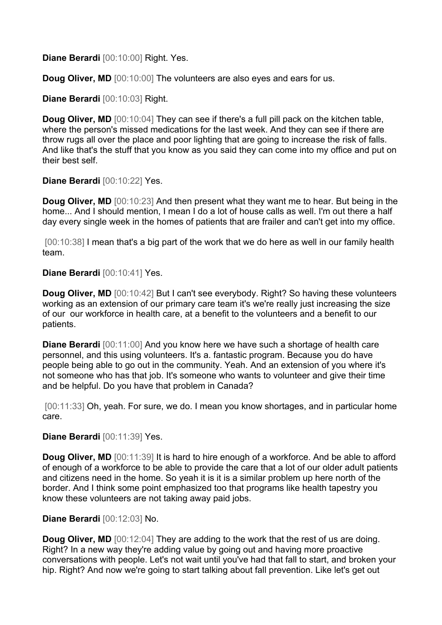**Diane Berardi** [00:10:00] Right. Yes.

**Doug Oliver, MD** [00:10:00] The volunteers are also eyes and ears for us.

**Diane Berardi** [00:10:03] Right.

**Doug Oliver, MD** [00:10:04] They can see if there's a full pill pack on the kitchen table, where the person's missed medications for the last week. And they can see if there are throw rugs all over the place and poor lighting that are going to increase the risk of falls. And like that's the stuff that you know as you said they can come into my office and put on their best self.

**Diane Berardi** [00:10:22] Yes.

**Doug Oliver, MD** [00:10:23] And then present what they want me to hear. But being in the home... And I should mention, I mean I do a lot of house calls as well. I'm out there a half day every single week in the homes of patients that are frailer and can't get into my office.

[00:10:38] I mean that's a big part of the work that we do here as well in our family health team.

**Diane Berardi** [00:10:41] Yes.

**Doug Oliver, MD** [00:10:42] But I can't see everybody. Right? So having these volunteers working as an extension of our primary care team it's we're really just increasing the size of our our workforce in health care, at a benefit to the volunteers and a benefit to our patients.

**Diane Berardi** [00:11:00] And you know here we have such a shortage of health care personnel, and this using volunteers. It's a. fantastic program. Because you do have people being able to go out in the community. Yeah. And an extension of you where it's not someone who has that job. It's someone who wants to volunteer and give their time and be helpful. Do you have that problem in Canada?

[00:11:33] Oh, yeah. For sure, we do. I mean you know shortages, and in particular home care.

**Diane Berardi** [00:11:39] Yes.

**Doug Oliver, MD** [00:11:39] It is hard to hire enough of a workforce. And be able to afford of enough of a workforce to be able to provide the care that a lot of our older adult patients and citizens need in the home. So yeah it is it is a similar problem up here north of the border. And I think some point emphasized too that programs like health tapestry you know these volunteers are not taking away paid jobs.

## **Diane Berardi** [00:12:03] No.

**Doug Oliver, MD** [00:12:04] They are adding to the work that the rest of us are doing. Right? In a new way they're adding value by going out and having more proactive conversations with people. Let's not wait until you've had that fall to start, and broken your hip. Right? And now we're going to start talking about fall prevention. Like let's get out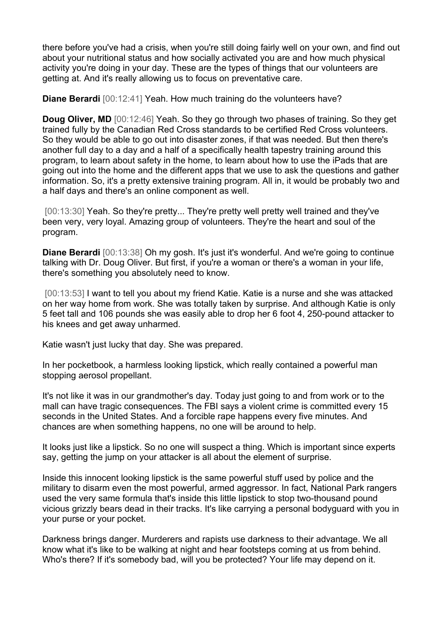there before you've had a crisis, when you're still doing fairly well on your own, and find out about your nutritional status and how socially activated you are and how much physical activity you're doing in your day. These are the types of things that our volunteers are getting at. And it's really allowing us to focus on preventative care.

**Diane Berardi** [00:12:41] Yeah. How much training do the volunteers have?

**Doug Oliver, MD** [00:12:46] Yeah. So they go through two phases of training. So they get trained fully by the Canadian Red Cross standards to be certified Red Cross volunteers. So they would be able to go out into disaster zones, if that was needed. But then there's another full day to a day and a half of a specifically health tapestry training around this program, to learn about safety in the home, to learn about how to use the iPads that are going out into the home and the different apps that we use to ask the questions and gather information. So, it's a pretty extensive training program. All in, it would be probably two and a half days and there's an online component as well.

[00:13:30] Yeah. So they're pretty... They're pretty well pretty well trained and they've been very, very loyal. Amazing group of volunteers. They're the heart and soul of the program.

**Diane Berardi** [00:13:38] Oh my gosh. It's just it's wonderful. And we're going to continue talking with Dr. Doug Oliver. But first, if you're a woman or there's a woman in your life, there's something you absolutely need to know.

[00:13:53] I want to tell you about my friend Katie. Katie is a nurse and she was attacked on her way home from work. She was totally taken by surprise. And although Katie is only 5 feet tall and 106 pounds she was easily able to drop her 6 foot 4, 250-pound attacker to his knees and get away unharmed.

Katie wasn't just lucky that day. She was prepared.

In her pocketbook, a harmless looking lipstick, which really contained a powerful man stopping aerosol propellant.

It's not like it was in our grandmother's day. Today just going to and from work or to the mall can have tragic consequences. The FBI says a violent crime is committed every 15 seconds in the United States. And a forcible rape happens every five minutes. And chances are when something happens, no one will be around to help.

It looks just like a lipstick. So no one will suspect a thing. Which is important since experts say, getting the jump on your attacker is all about the element of surprise.

Inside this innocent looking lipstick is the same powerful stuff used by police and the military to disarm even the most powerful, armed aggressor. In fact, National Park rangers used the very same formula that's inside this little lipstick to stop two-thousand pound vicious grizzly bears dead in their tracks. It's like carrying a personal bodyguard with you in your purse or your pocket.

Darkness brings danger. Murderers and rapists use darkness to their advantage. We all know what it's like to be walking at night and hear footsteps coming at us from behind. Who's there? If it's somebody bad, will you be protected? Your life may depend on it.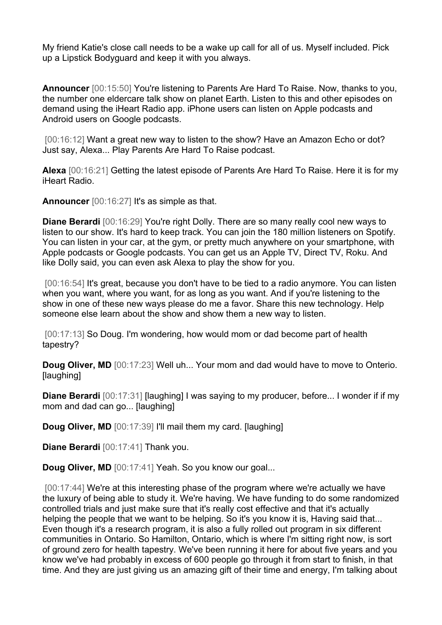My friend Katie's close call needs to be a wake up call for all of us. Myself included. Pick up a Lipstick Bodyguard and keep it with you always.

**Announcer** [00:15:50] You're listening to Parents Are Hard To Raise. Now, thanks to you, the number one eldercare talk show on planet Earth. Listen to this and other episodes on demand using the iHeart Radio app. iPhone users can listen on Apple podcasts and Android users on Google podcasts.

[00:16:12] Want a great new way to listen to the show? Have an Amazon Echo or dot? Just say, Alexa... Play Parents Are Hard To Raise podcast.

**Alexa** [00:16:21] Getting the latest episode of Parents Are Hard To Raise. Here it is for my iHeart Radio.

**Announcer** [00:16:27] It's as simple as that.

**Diane Berardi** [00:16:29] You're right Dolly. There are so many really cool new ways to listen to our show. It's hard to keep track. You can join the 180 million listeners on Spotify. You can listen in your car, at the gym, or pretty much anywhere on your smartphone, with Apple podcasts or Google podcasts. You can get us an Apple TV, Direct TV, Roku. And like Dolly said, you can even ask Alexa to play the show for you.

[00:16:54] It's great, because you don't have to be tied to a radio anymore. You can listen when you want, where you want, for as long as you want. And if you're listening to the show in one of these new ways please do me a favor. Share this new technology. Help someone else learn about the show and show them a new way to listen.

[00:17:13] So Doug. I'm wondering, how would mom or dad become part of health tapestry?

**Doug Oliver, MD** [00:17:23] Well uh... Your mom and dad would have to move to Onterio. [laughing]

**Diane Berardi** [00:17:31] [laughing] I was saying to my producer, before... I wonder if if my mom and dad can go... [laughing]

**Doug Oliver, MD** [00:17:39] I'll mail them my card. [laughing]

**Diane Berardi** [00:17:41] Thank you.

**Doug Oliver, MD** [00:17:41] Yeah. So you know our goal...

[00:17:44] We're at this interesting phase of the program where we're actually we have the luxury of being able to study it. We're having. We have funding to do some randomized controlled trials and just make sure that it's really cost effective and that it's actually helping the people that we want to be helping. So it's you know it is, Having said that... Even though it's a research program, it is also a fully rolled out program in six different communities in Ontario. So Hamilton, Ontario, which is where I'm sitting right now, is sort of ground zero for health tapestry. We've been running it here for about five years and you know we've had probably in excess of 600 people go through it from start to finish, in that time. And they are just giving us an amazing gift of their time and energy, I'm talking about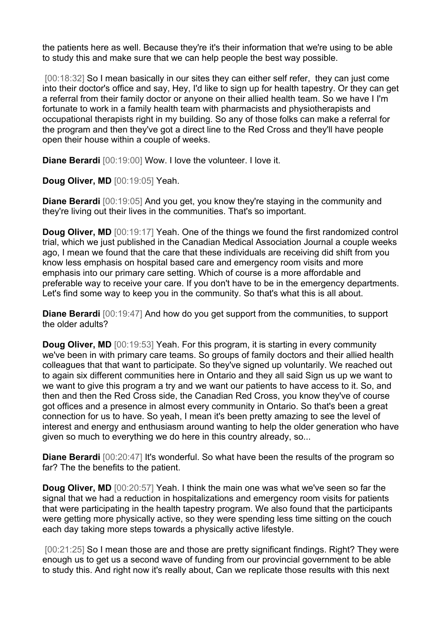the patients here as well. Because they're it's their information that we're using to be able to study this and make sure that we can help people the best way possible.

[00:18:32] So I mean basically in our sites they can either self refer, they can just come into their doctor's office and say, Hey, I'd like to sign up for health tapestry. Or they can get a referral from their family doctor or anyone on their allied health team. So we have I I'm fortunate to work in a family health team with pharmacists and physiotherapists and occupational therapists right in my building. So any of those folks can make a referral for the program and then they've got a direct line to the Red Cross and they'll have people open their house within a couple of weeks.

**Diane Berardi** [00:19:00] Wow. I love the volunteer. I love it.

**Doug Oliver, MD** [00:19:05] Yeah.

**Diane Berardi** [00:19:05] And you get, you know they're staying in the community and they're living out their lives in the communities. That's so important.

**Doug Oliver, MD** [00:19:17] Yeah. One of the things we found the first randomized control trial, which we just published in the Canadian Medical Association Journal a couple weeks ago, I mean we found that the care that these individuals are receiving did shift from you know less emphasis on hospital based care and emergency room visits and more emphasis into our primary care setting. Which of course is a more affordable and preferable way to receive your care. If you don't have to be in the emergency departments. Let's find some way to keep you in the community. So that's what this is all about.

**Diane Berardi** [00:19:47] And how do you get support from the communities, to support the older adults?

**Doug Oliver, MD** [00:19:53] Yeah. For this program, it is starting in every community we've been in with primary care teams. So groups of family doctors and their allied health colleagues that that want to participate. So they've signed up voluntarily. We reached out to again six different communities here in Ontario and they all said Sign us up we want to we want to give this program a try and we want our patients to have access to it. So, and then and then the Red Cross side, the Canadian Red Cross, you know they've of course got offices and a presence in almost every community in Ontario. So that's been a great connection for us to have. So yeah, I mean it's been pretty amazing to see the level of interest and energy and enthusiasm around wanting to help the older generation who have given so much to everything we do here in this country already, so...

**Diane Berardi** [00:20:47] It's wonderful. So what have been the results of the program so far? The the benefits to the patient.

**Doug Oliver, MD** [00:20:57] Yeah. I think the main one was what we've seen so far the signal that we had a reduction in hospitalizations and emergency room visits for patients that were participating in the health tapestry program. We also found that the participants were getting more physically active, so they were spending less time sitting on the couch each day taking more steps towards a physically active lifestyle.

[00:21:25] So I mean those are and those are pretty significant findings. Right? They were enough us to get us a second wave of funding from our provincial government to be able to study this. And right now it's really about, Can we replicate those results with this next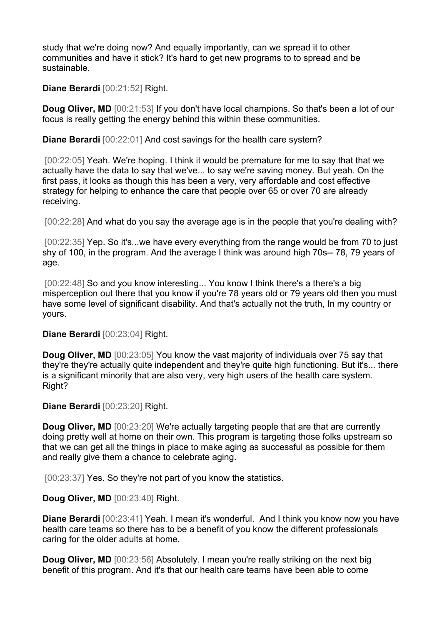study that we're doing now? And equally importantly, can we spread it to other communities and have it stick? It's hard to get new programs to to spread and be sustainable.

**Diane Berardi** [00:21:52] Right.

**Doug Oliver, MD** [00:21:53] If you don't have local champions. So that's been a lot of our focus is really getting the energy behind this within these communities.

**Diane Berardi** [00:22:01] And cost savings for the health care system?

[00:22:05] Yeah. We're hoping. I think it would be premature for me to say that that we actually have the data to say that we've... to say we're saving money. But yeah. On the first pass, it looks as though this has been a very, very affordable and cost effective strategy for helping to enhance the care that people over 65 or over 70 are already receiving.

[00:22:28] And what do you say the average age is in the people that you're dealing with?

[00:22:35] Yep. So it's...we have every everything from the range would be from 70 to just shy of 100, in the program. And the average I think was around high 70s-- 78, 79 years of age.

[00:22:48] So and you know interesting... You know I think there's a there's a big misperception out there that you know if you're 78 years old or 79 years old then you must have some level of significant disability. And that's actually not the truth, In my country or yours.

**Diane Berardi** [00:23:04] Right.

**Doug Oliver, MD** [00:23:05] You know the vast majority of individuals over 75 say that they're they're actually quite independent and they're quite high functioning. But it's... there is a significant minority that are also very, very high users of the health care system. Right?

**Diane Berardi** [00:23:20] Right.

**Doug Oliver, MD** [00:23:20] We're actually targeting people that are that are currently doing pretty well at home on their own. This program is targeting those folks upstream so that we can get all the things in place to make aging as successful as possible for them and really give them a chance to celebrate aging.

[00:23:37] Yes. So they're not part of you know the statistics.

**Doug Oliver, MD** [00:23:40] Right.

**Diane Berardi** [00:23:41] Yeah. I mean it's wonderful. And I think you know now you have health care teams so there has to be a benefit of you know the different professionals caring for the older adults at home.

**Doug Oliver. MD**  $[00:23:56]$  Absolutely. I mean you're really striking on the next big benefit of this program. And it's that our health care teams have been able to come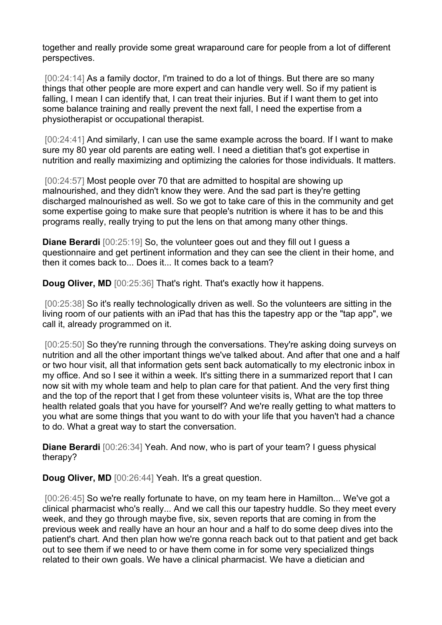together and really provide some great wraparound care for people from a lot of different perspectives.

[00:24:14] As a family doctor, I'm trained to do a lot of things. But there are so many things that other people are more expert and can handle very well. So if my patient is falling, I mean I can identify that, I can treat their injuries. But if I want them to get into some balance training and really prevent the next fall, I need the expertise from a physiotherapist or occupational therapist.

[00:24:41] And similarly, I can use the same example across the board. If I want to make sure my 80 year old parents are eating well. I need a dietitian that's got expertise in nutrition and really maximizing and optimizing the calories for those individuals. It matters.

[00:24:57] Most people over 70 that are admitted to hospital are showing up malnourished, and they didn't know they were. And the sad part is they're getting discharged malnourished as well. So we got to take care of this in the community and get some expertise going to make sure that people's nutrition is where it has to be and this programs really, really trying to put the lens on that among many other things.

**Diane Berardi** [00:25:19] So, the volunteer goes out and they fill out I guess a questionnaire and get pertinent information and they can see the client in their home, and then it comes back to... Does it... It comes back to a team?

**Doug Oliver, MD** [00:25:36] That's right. That's exactly how it happens.

[00:25:38] So it's really technologically driven as well. So the volunteers are sitting in the living room of our patients with an iPad that has this the tapestry app or the "tap app", we call it, already programmed on it.

[00:25:50] So they're running through the conversations. They're asking doing surveys on nutrition and all the other important things we've talked about. And after that one and a half or two hour visit, all that information gets sent back automatically to my electronic inbox in my office. And so I see it within a week. It's sitting there in a summarized report that I can now sit with my whole team and help to plan care for that patient. And the very first thing and the top of the report that I get from these volunteer visits is, What are the top three health related goals that you have for yourself? And we're really getting to what matters to you what are some things that you want to do with your life that you haven't had a chance to do. What a great way to start the conversation.

**Diane Berardi** [00:26:34] Yeah. And now, who is part of your team? I guess physical therapy?

**Doug Oliver, MD** [00:26:44] Yeah. It's a great question.

[00:26:45] So we're really fortunate to have, on my team here in Hamilton... We've got a clinical pharmacist who's really... And we call this our tapestry huddle. So they meet every week, and they go through maybe five, six, seven reports that are coming in from the previous week and really have an hour an hour and a half to do some deep dives into the patient's chart. And then plan how we're gonna reach back out to that patient and get back out to see them if we need to or have them come in for some very specialized things related to their own goals. We have a clinical pharmacist. We have a dietician and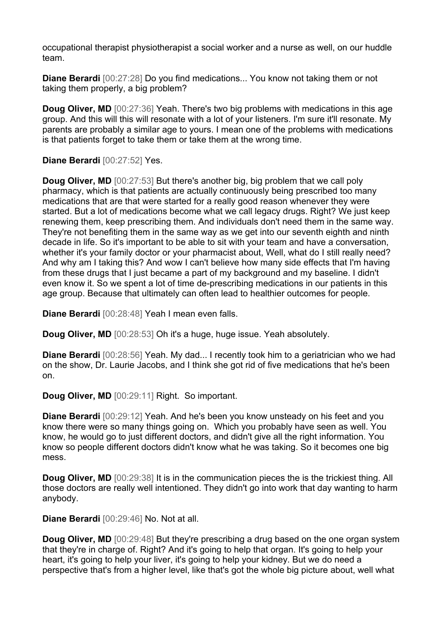occupational therapist physiotherapist a social worker and a nurse as well, on our huddle team.

**Diane Berardi** [00:27:28] Do you find medications... You know not taking them or not taking them properly, a big problem?

**Doug Oliver, MD** [00:27:36] Yeah. There's two big problems with medications in this age group. And this will this will resonate with a lot of your listeners. I'm sure it'll resonate. My parents are probably a similar age to yours. I mean one of the problems with medications is that patients forget to take them or take them at the wrong time.

**Diane Berardi** [00:27:52] Yes.

**Doug Oliver, MD** [00:27:53] But there's another big, big problem that we call poly pharmacy, which is that patients are actually continuously being prescribed too many medications that are that were started for a really good reason whenever they were started. But a lot of medications become what we call legacy drugs. Right? We just keep renewing them, keep prescribing them. And individuals don't need them in the same way. They're not benefiting them in the same way as we get into our seventh eighth and ninth decade in life. So it's important to be able to sit with your team and have a conversation, whether it's your family doctor or your pharmacist about, Well, what do I still really need? And why am I taking this? And wow I can't believe how many side effects that I'm having from these drugs that I just became a part of my background and my baseline. I didn't even know it. So we spent a lot of time de-prescribing medications in our patients in this age group. Because that ultimately can often lead to healthier outcomes for people.

**Diane Berardi** [00:28:48] Yeah I mean even falls.

**Doug Oliver, MD** [00:28:53] Oh it's a huge, huge issue. Yeah absolutely.

**Diane Berardi** [00:28:56] Yeah. My dad... I recently took him to a geriatrician who we had on the show, Dr. Laurie Jacobs, and I think she got rid of five medications that he's been on.

**Doug Oliver, MD** [00:29:11] Right. So important.

**Diane Berardi** [00:29:12] Yeah. And he's been you know unsteady on his feet and you know there were so many things going on. Which you probably have seen as well. You know, he would go to just different doctors, and didn't give all the right information. You know so people different doctors didn't know what he was taking. So it becomes one big mess.

**Doug Oliver, MD** [00:29:38] It is in the communication pieces the is the trickiest thing. All those doctors are really well intentioned. They didn't go into work that day wanting to harm anybody.

**Diane Berardi** [00:29:46] No. Not at all.

**Doug Oliver, MD** [00:29:48] But they're prescribing a drug based on the one organ system that they're in charge of. Right? And it's going to help that organ. It's going to help your heart, it's going to help your liver, it's going to help your kidney. But we do need a perspective that's from a higher level, like that's got the whole big picture about, well what